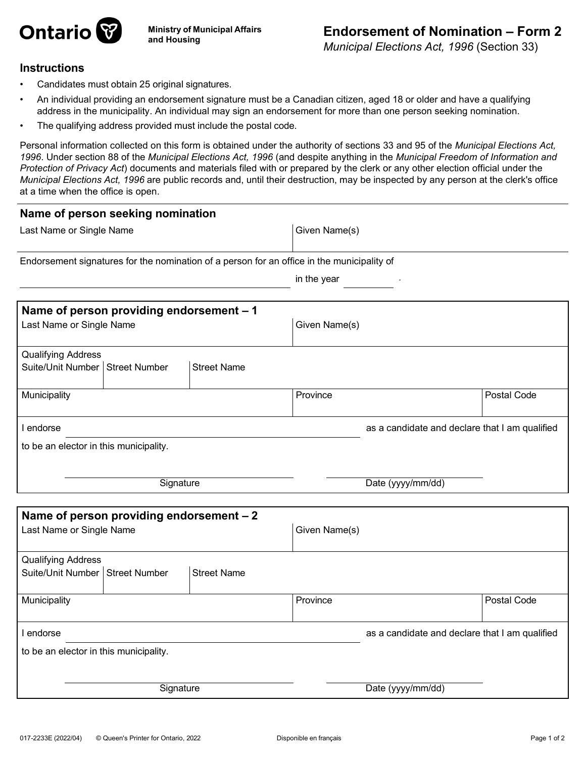

*Municipal Elections Act, 1996* (Section 33)

## **Instructions**

- Candidates must obtain 25 original signatures.
- An individual providing an endorsement signature must be a Canadian citizen, aged 18 or older and have a qualifying address in the municipality. An individual may sign an endorsement for more than one person seeking nomination.
- The qualifying address provided must include the postal code.

Personal information collected on this form is obtained under the authority of sections 33 and 95 of the *Municipal Elections Act, 1996*. Under section 88 of the *Municipal Elections Act, 1996* (and despite anything in the *Municipal Freedom of Information and Protection of Privacy Act*) documents and materials filed with or prepared by the clerk or any other election official under the *Municipal Elections Act, 1996* are public records and, until their destruction, may be inspected by any person at the clerk's office at a time when the office is open.

| Name of person seeking nomination                                                          |                                                |             |  |
|--------------------------------------------------------------------------------------------|------------------------------------------------|-------------|--|
| Last Name or Single Name                                                                   | Given Name(s)                                  |             |  |
| Endorsement signatures for the nomination of a person for an office in the municipality of |                                                |             |  |
|                                                                                            | in the year                                    |             |  |
| Name of person providing endorsement - 1<br>Last Name or Single Name                       | Given Name(s)                                  |             |  |
| <b>Qualifying Address</b><br>Suite/Unit Number   Street Number<br><b>Street Name</b>       |                                                |             |  |
| Municipality                                                                               | Province                                       | Postal Code |  |
| I endorse                                                                                  | as a candidate and declare that I am qualified |             |  |
| to be an elector in this municipality.                                                     |                                                |             |  |
|                                                                                            |                                                |             |  |
| Signature                                                                                  | Date (yyyy/mm/dd)                              |             |  |
|                                                                                            |                                                |             |  |
| Name of person providing endorsement - 2<br>Last Name or Single Name                       | Given Name(s)                                  |             |  |
| <b>Qualifying Address</b><br>Suite/Unit Number   Street Number<br><b>Street Name</b>       |                                                |             |  |
| Municipality                                                                               | Province                                       | Postal Code |  |
| I endorse                                                                                  | as a candidate and declare that I am qualified |             |  |
| to be an elector in this municipality.                                                     |                                                |             |  |
| Signature                                                                                  | Date (yyyy/mm/dd)                              |             |  |